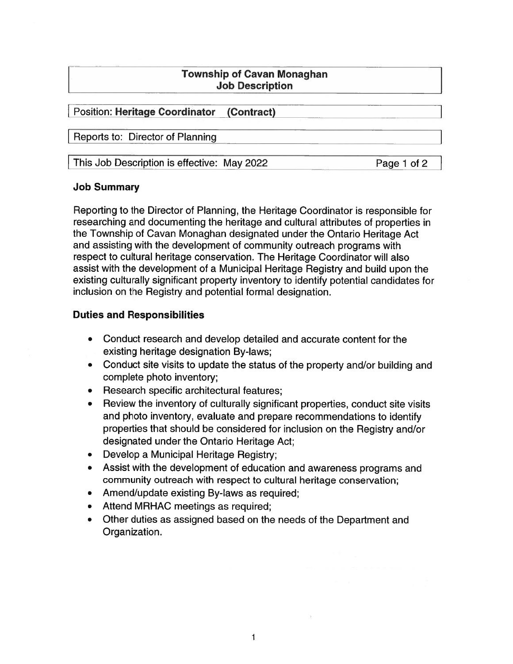# Township of Cavan Monaghan **Job Description**

# Position: Heritage Coordinator (Contract)

Reports to: Director of Planning

This Job Description is effective: May 2022 Page 1 of 2

# Job Summary

Reporting to the Director of Planning, the Heritage Coordinator is responsible for researching and documenting the heritage and cultural attributes of properties in the Township of Cavan Monaghan designated under the Ontario Heritage Act and assisting with the development of community outreach programs with respec<sup>t</sup> to cultural heritage conservation. The Heritage Coordinator will also assist with the development of <sup>a</sup> Municipal Heritage Registry and build upon the existing culturally significant property inventory to identify potential candidates for inclusion on the Registry and potential formal designation.

# Duties and Responsibilities

- Conduct research and develop detailed and accurate content for the existing heritage designation By-laws;
- Conduct site visits to update the status of the property and/or building and complete photo inventory;
- Research specific architectural features;
- • Review the inventory of culturally significant properties, conduct site visits and photo inventory, evaluate and prepare recommendations to identify properties that should be considered for inclusion on the Registry and/or designated under the Ontario Heritage Act;
- Develop <sup>a</sup> Municipal Heritage Registry;
- Assist with the development of education and awareness programs and community outreach with respec<sup>t</sup> to cultural heritage conservation;
- Amend/update existing By-laws as required;
- Attend MRHAC meetings as required;
- Other duties as assigned based on the needs of the Department and Organization.